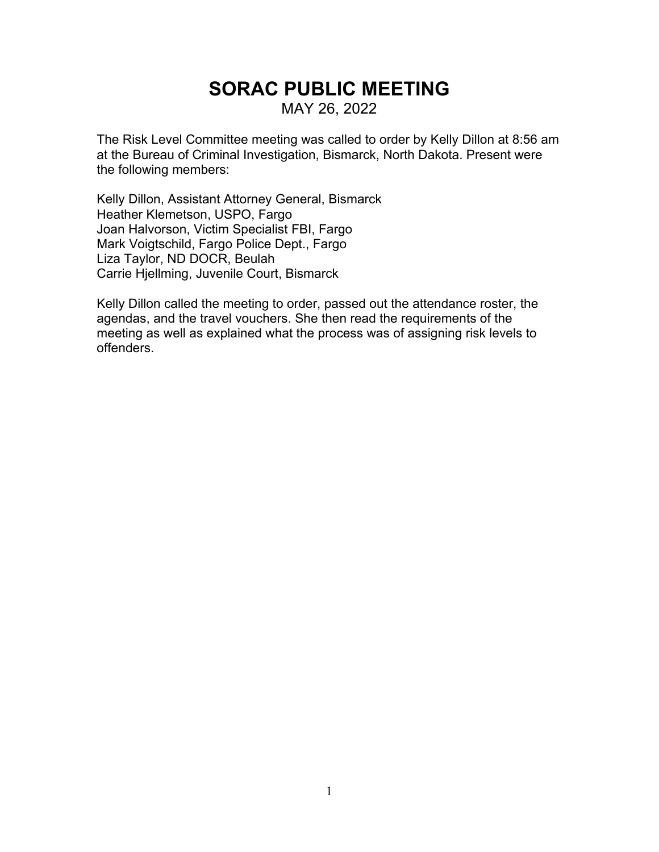# **SORAC PUBLIC MEETING**

MAY 26, 2022

The Risk Level Committee meeting was called to order by Kelly Dillon at 8:56 am at the Bureau of Criminal Investigation, Bismarck, North Dakota. Present were the following members:

Kelly Dillon, Assistant Attorney General, Bismarck Heather Klemetson, USPO, Fargo Joan Halvorson, Victim Specialist FBI, Fargo Mark Voigtschild, Fargo Police Dept., Fargo Liza Taylor, ND DOCR, Beulah Carrie Hjellming, Juvenile Court, Bismarck

Kelly Dillon called the meeting to order, passed out the attendance roster, the agendas, and the travel vouchers. She then read the requirements of the meeting as well as explained what the process was of assigning risk levels to offenders.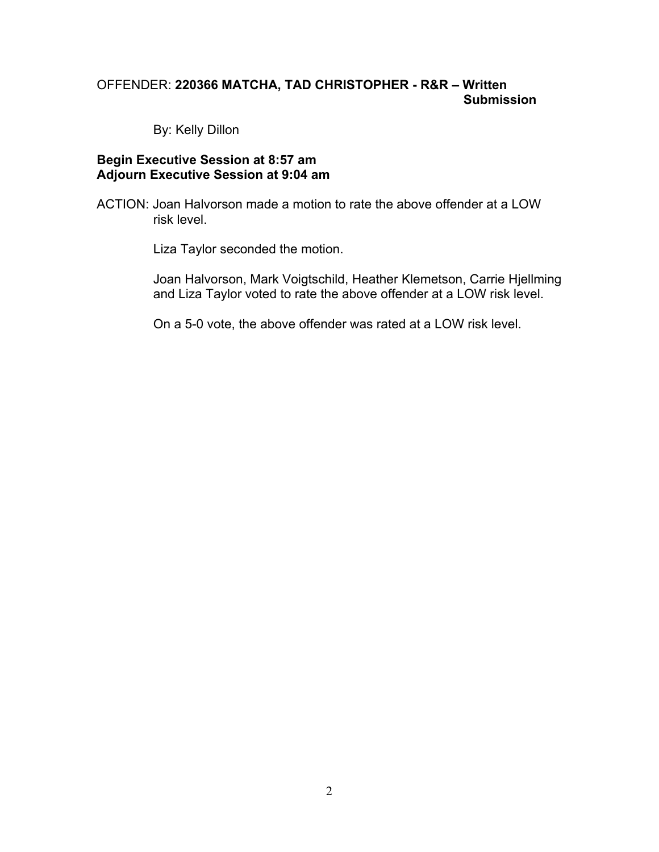# OFFENDER: **220366 MATCHA, TAD CHRISTOPHER - R&R – Written Submission**

By: Kelly Dillon

#### **Begin Executive Session at 8:57 am Adjourn Executive Session at 9:04 am**

ACTION: Joan Halvorson made a motion to rate the above offender at a LOW risk level.

Liza Taylor seconded the motion.

Joan Halvorson, Mark Voigtschild, Heather Klemetson, Carrie Hjellming and Liza Taylor voted to rate the above offender at a LOW risk level.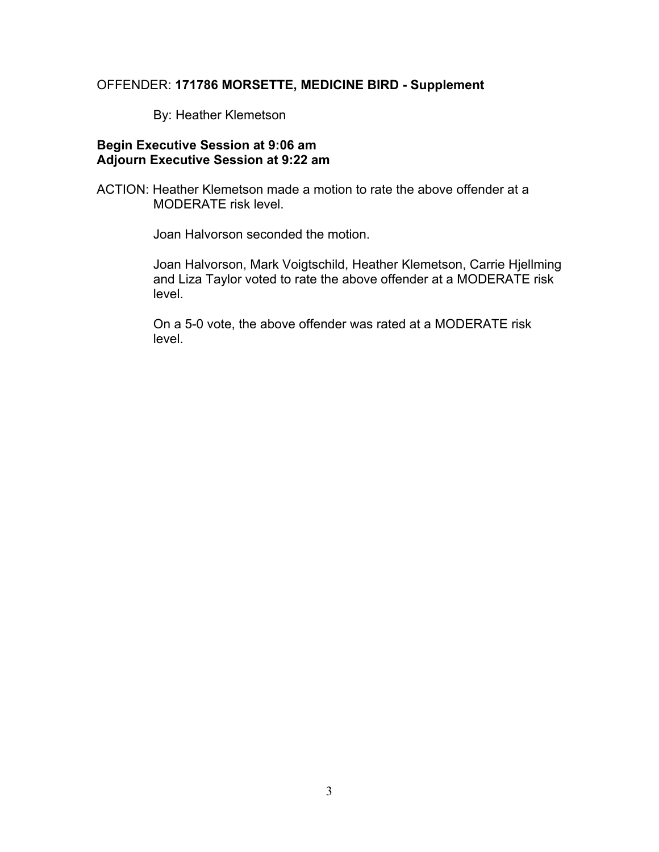#### OFFENDER: **171786 MORSETTE, MEDICINE BIRD - Supplement**

By: Heather Klemetson

## **Begin Executive Session at 9:06 am Adjourn Executive Session at 9:22 am**

ACTION: Heather Klemetson made a motion to rate the above offender at a MODERATE risk level.

Joan Halvorson seconded the motion.

Joan Halvorson, Mark Voigtschild, Heather Klemetson, Carrie Hjellming and Liza Taylor voted to rate the above offender at a MODERATE risk level.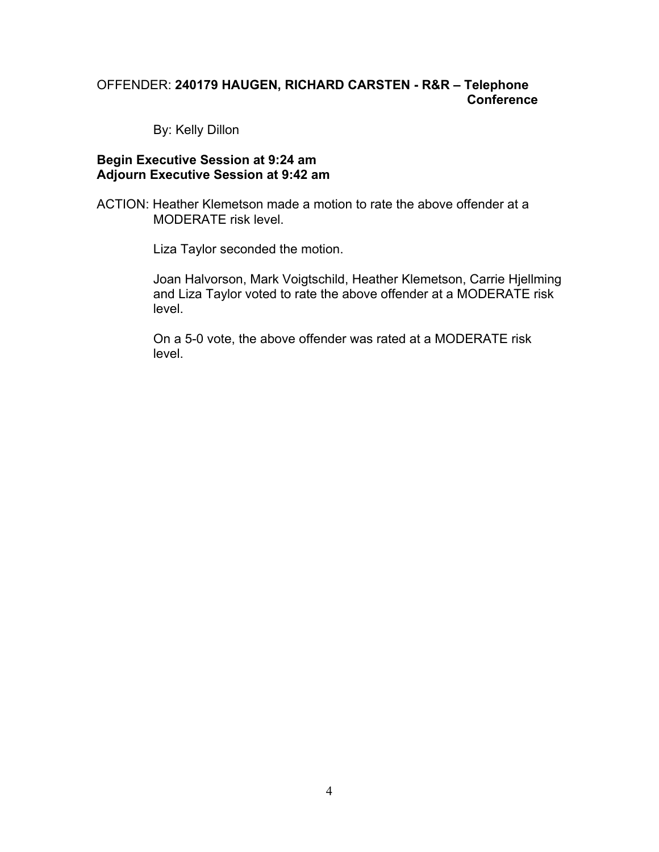# OFFENDER: **240179 HAUGEN, RICHARD CARSTEN - R&R – Telephone Conference**

By: Kelly Dillon

#### **Begin Executive Session at 9:24 am Adjourn Executive Session at 9:42 am**

ACTION: Heather Klemetson made a motion to rate the above offender at a MODERATE risk level.

Liza Taylor seconded the motion.

Joan Halvorson, Mark Voigtschild, Heather Klemetson, Carrie Hjellming and Liza Taylor voted to rate the above offender at a MODERATE risk level.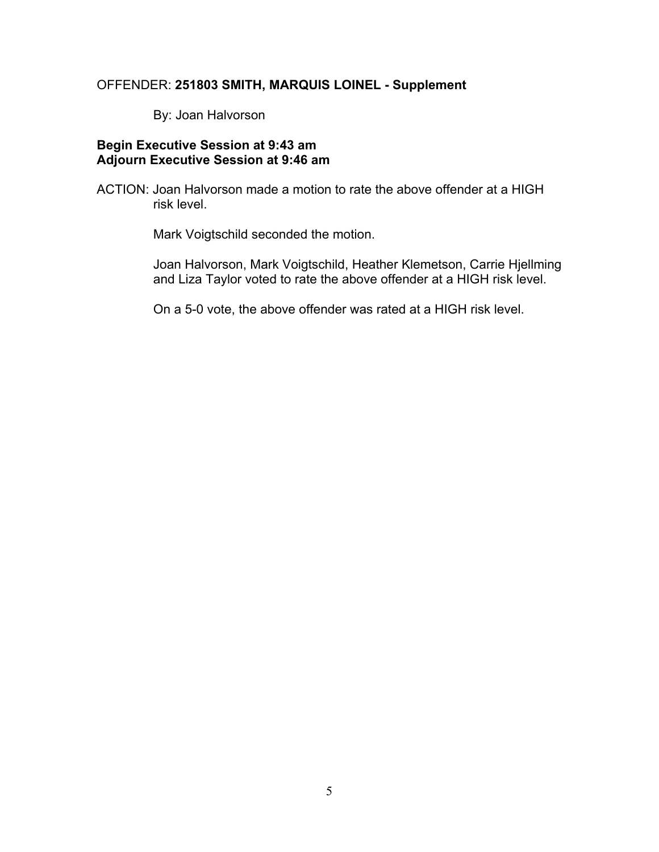#### OFFENDER: **251803 SMITH, MARQUIS LOINEL - Supplement**

By: Joan Halvorson

# **Begin Executive Session at 9:43 am Adjourn Executive Session at 9:46 am**

ACTION: Joan Halvorson made a motion to rate the above offender at a HIGH risk level.

Mark Voigtschild seconded the motion.

Joan Halvorson, Mark Voigtschild, Heather Klemetson, Carrie Hjellming and Liza Taylor voted to rate the above offender at a HIGH risk level.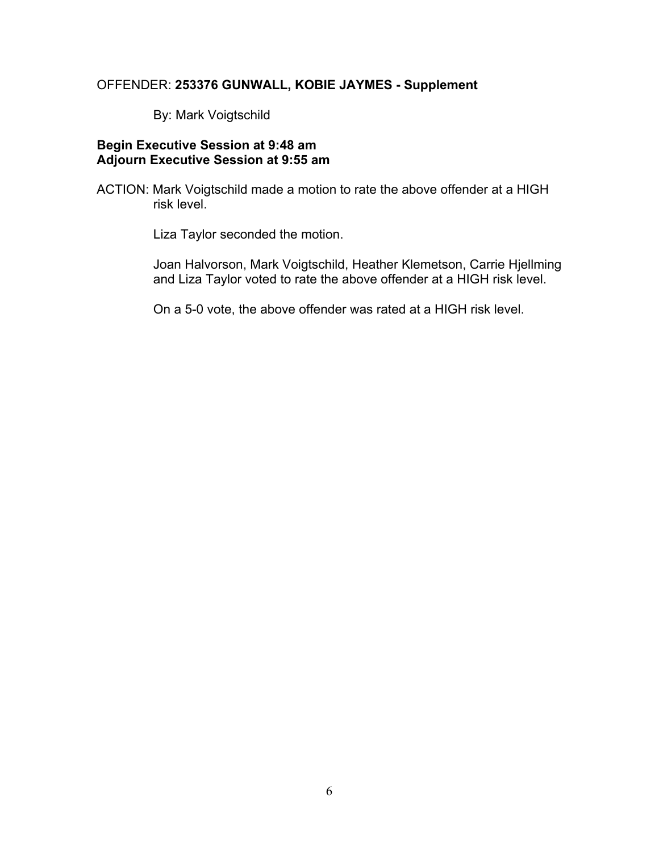#### OFFENDER: **253376 GUNWALL, KOBIE JAYMES - Supplement**

By: Mark Voigtschild

# **Begin Executive Session at 9:48 am Adjourn Executive Session at 9:55 am**

ACTION: Mark Voigtschild made a motion to rate the above offender at a HIGH risk level.

Liza Taylor seconded the motion.

Joan Halvorson, Mark Voigtschild, Heather Klemetson, Carrie Hjellming and Liza Taylor voted to rate the above offender at a HIGH risk level.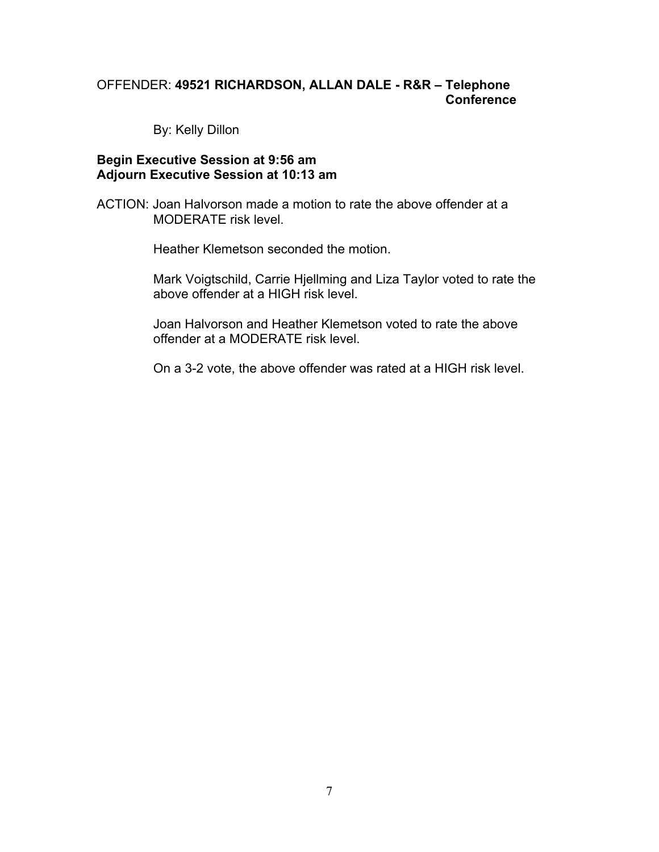# OFFENDER: **49521 RICHARDSON, ALLAN DALE - R&R – Telephone Conference**

By: Kelly Dillon

#### **Begin Executive Session at 9:56 am Adjourn Executive Session at 10:13 am**

ACTION: Joan Halvorson made a motion to rate the above offender at a MODERATE risk level.

Heather Klemetson seconded the motion.

Mark Voigtschild, Carrie Hjellming and Liza Taylor voted to rate the above offender at a HIGH risk level.

Joan Halvorson and Heather Klemetson voted to rate the above offender at a MODERATE risk level.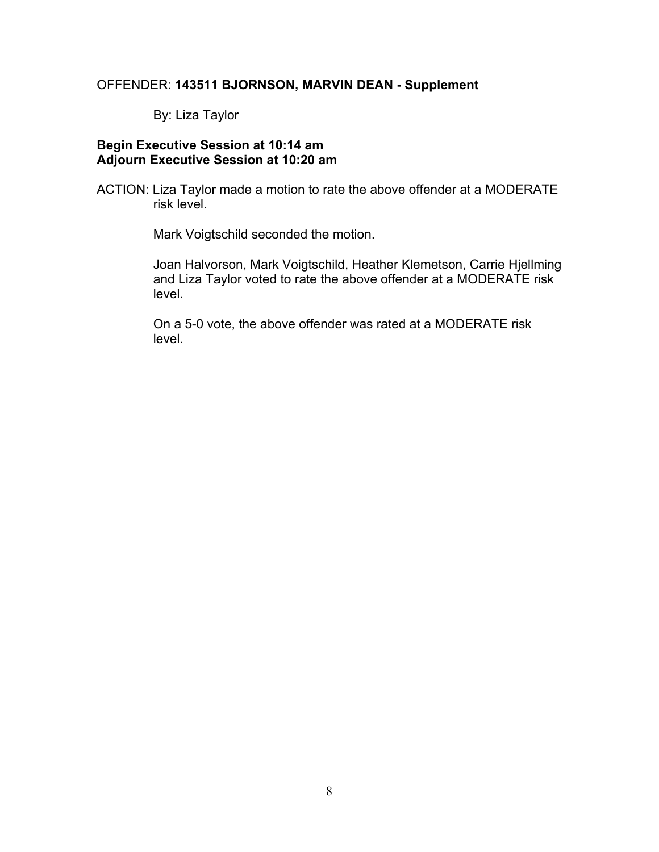# OFFENDER: **143511 BJORNSON, MARVIN DEAN - Supplement**

By: Liza Taylor

# **Begin Executive Session at 10:14 am Adjourn Executive Session at 10:20 am**

ACTION: Liza Taylor made a motion to rate the above offender at a MODERATE risk level.

Mark Voigtschild seconded the motion.

Joan Halvorson, Mark Voigtschild, Heather Klemetson, Carrie Hjellming and Liza Taylor voted to rate the above offender at a MODERATE risk level.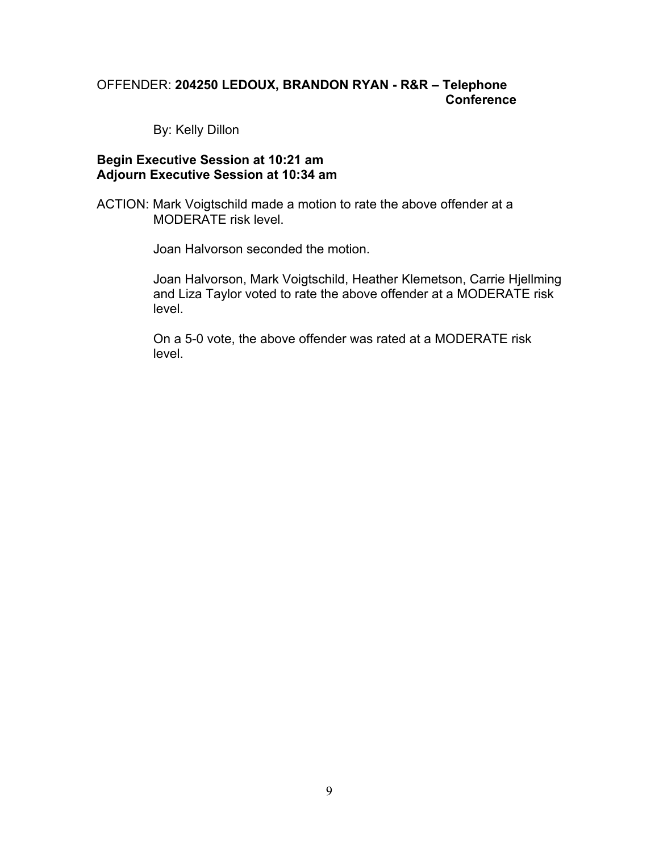# OFFENDER: **204250 LEDOUX, BRANDON RYAN - R&R – Telephone Conference**

By: Kelly Dillon

#### **Begin Executive Session at 10:21 am Adjourn Executive Session at 10:34 am**

ACTION: Mark Voigtschild made a motion to rate the above offender at a MODERATE risk level.

Joan Halvorson seconded the motion.

Joan Halvorson, Mark Voigtschild, Heather Klemetson, Carrie Hjellming and Liza Taylor voted to rate the above offender at a MODERATE risk level.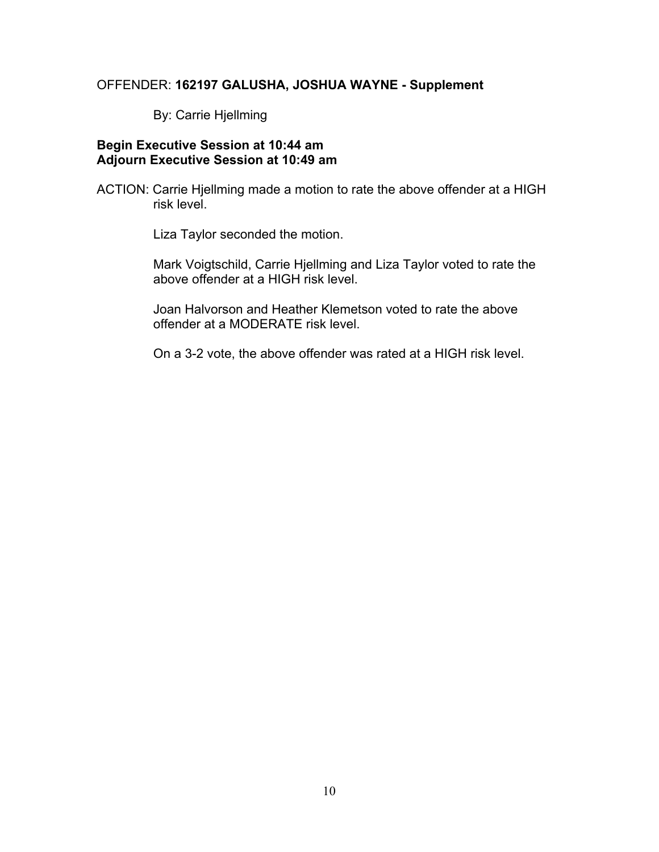# OFFENDER: **162197 GALUSHA, JOSHUA WAYNE - Supplement**

By: Carrie Hjellming

## **Begin Executive Session at 10:44 am Adjourn Executive Session at 10:49 am**

ACTION: Carrie Hjellming made a motion to rate the above offender at a HIGH risk level.

Liza Taylor seconded the motion.

Mark Voigtschild, Carrie Hjellming and Liza Taylor voted to rate the above offender at a HIGH risk level.

Joan Halvorson and Heather Klemetson voted to rate the above offender at a MODERATE risk level.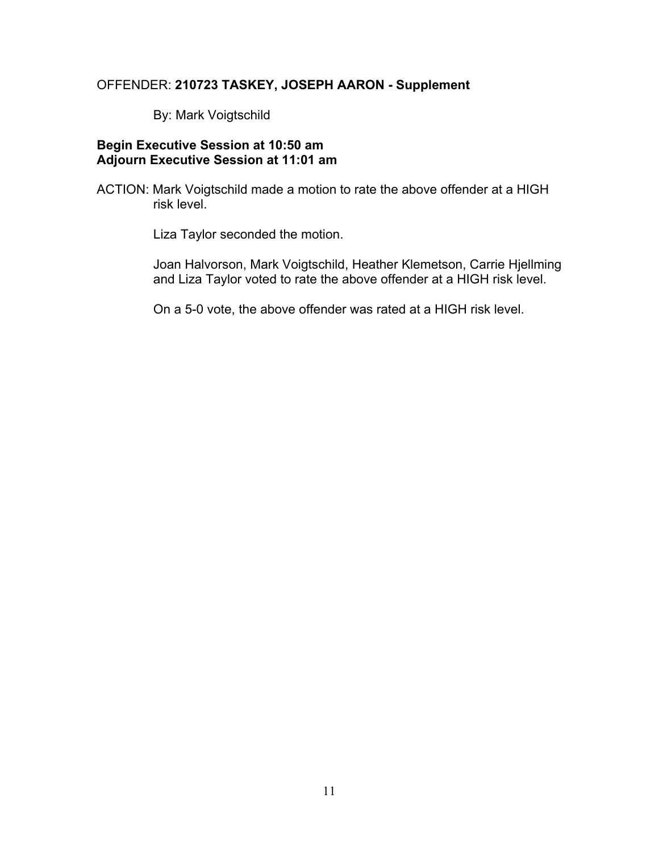# OFFENDER: **210723 TASKEY, JOSEPH AARON - Supplement**

By: Mark Voigtschild

# **Begin Executive Session at 10:50 am Adjourn Executive Session at 11:01 am**

ACTION: Mark Voigtschild made a motion to rate the above offender at a HIGH risk level.

Liza Taylor seconded the motion.

Joan Halvorson, Mark Voigtschild, Heather Klemetson, Carrie Hjellming and Liza Taylor voted to rate the above offender at a HIGH risk level.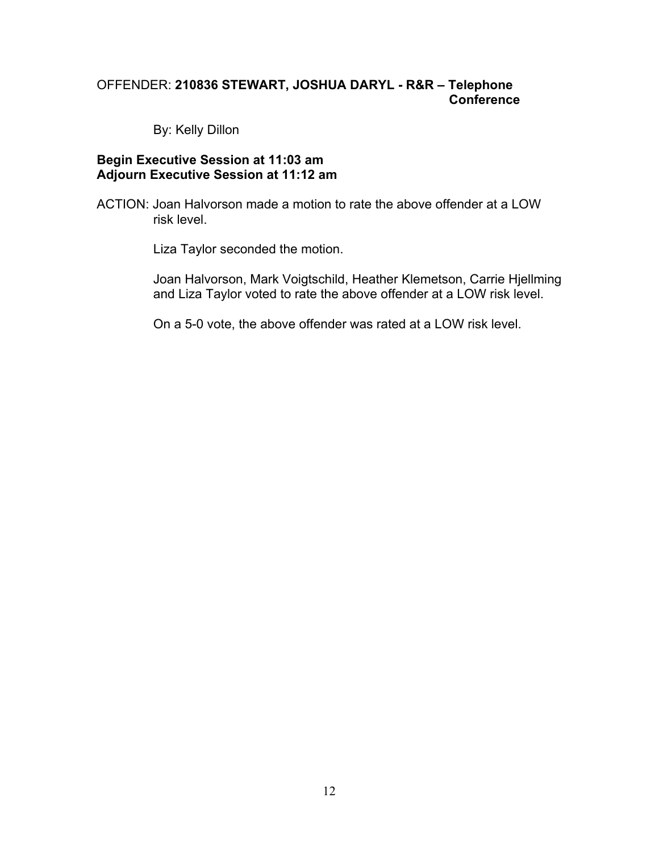# OFFENDER: **210836 STEWART, JOSHUA DARYL - R&R – Telephone Conference**

By: Kelly Dillon

#### **Begin Executive Session at 11:03 am Adjourn Executive Session at 11:12 am**

ACTION: Joan Halvorson made a motion to rate the above offender at a LOW risk level.

Liza Taylor seconded the motion.

Joan Halvorson, Mark Voigtschild, Heather Klemetson, Carrie Hjellming and Liza Taylor voted to rate the above offender at a LOW risk level.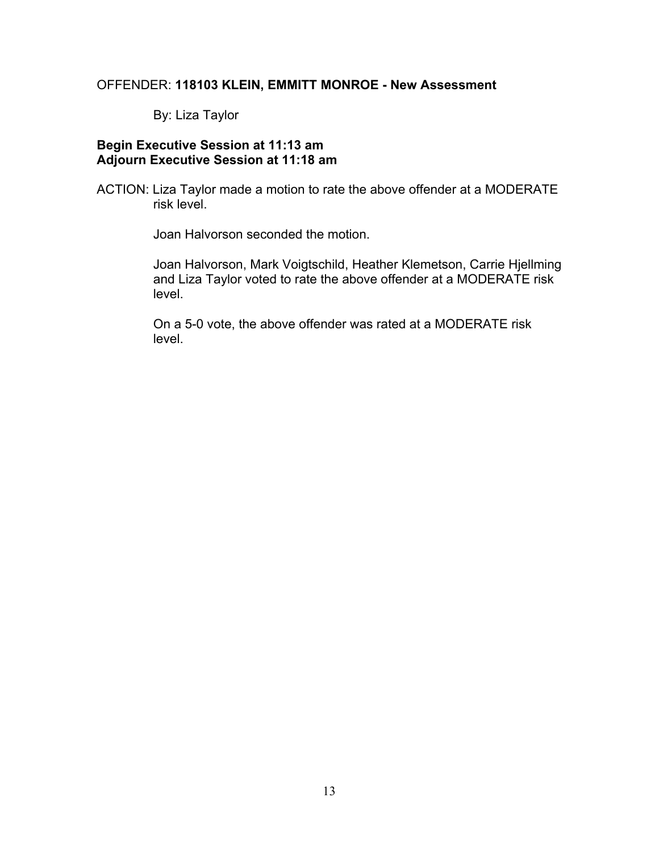# OFFENDER: **118103 KLEIN, EMMITT MONROE - New Assessment**

By: Liza Taylor

# **Begin Executive Session at 11:13 am Adjourn Executive Session at 11:18 am**

ACTION: Liza Taylor made a motion to rate the above offender at a MODERATE risk level.

Joan Halvorson seconded the motion.

Joan Halvorson, Mark Voigtschild, Heather Klemetson, Carrie Hjellming and Liza Taylor voted to rate the above offender at a MODERATE risk level.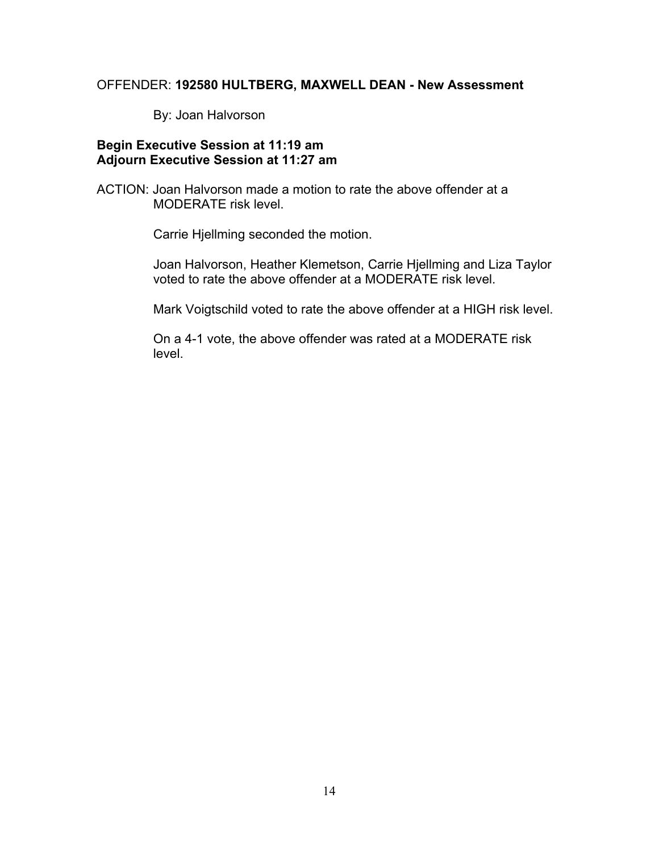#### OFFENDER: **192580 HULTBERG, MAXWELL DEAN - New Assessment**

By: Joan Halvorson

# **Begin Executive Session at 11:19 am Adjourn Executive Session at 11:27 am**

ACTION: Joan Halvorson made a motion to rate the above offender at a MODERATE risk level.

Carrie Hjellming seconded the motion.

Joan Halvorson, Heather Klemetson, Carrie Hjellming and Liza Taylor voted to rate the above offender at a MODERATE risk level.

Mark Voigtschild voted to rate the above offender at a HIGH risk level.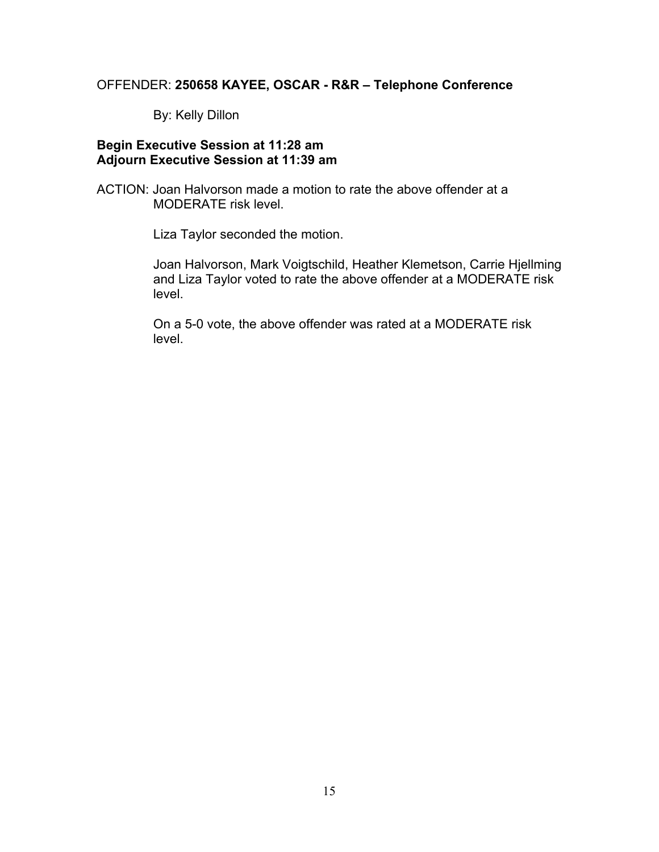#### OFFENDER: **250658 KAYEE, OSCAR - R&R – Telephone Conference**

By: Kelly Dillon

## **Begin Executive Session at 11:28 am Adjourn Executive Session at 11:39 am**

ACTION: Joan Halvorson made a motion to rate the above offender at a MODERATE risk level.

Liza Taylor seconded the motion.

Joan Halvorson, Mark Voigtschild, Heather Klemetson, Carrie Hjellming and Liza Taylor voted to rate the above offender at a MODERATE risk level.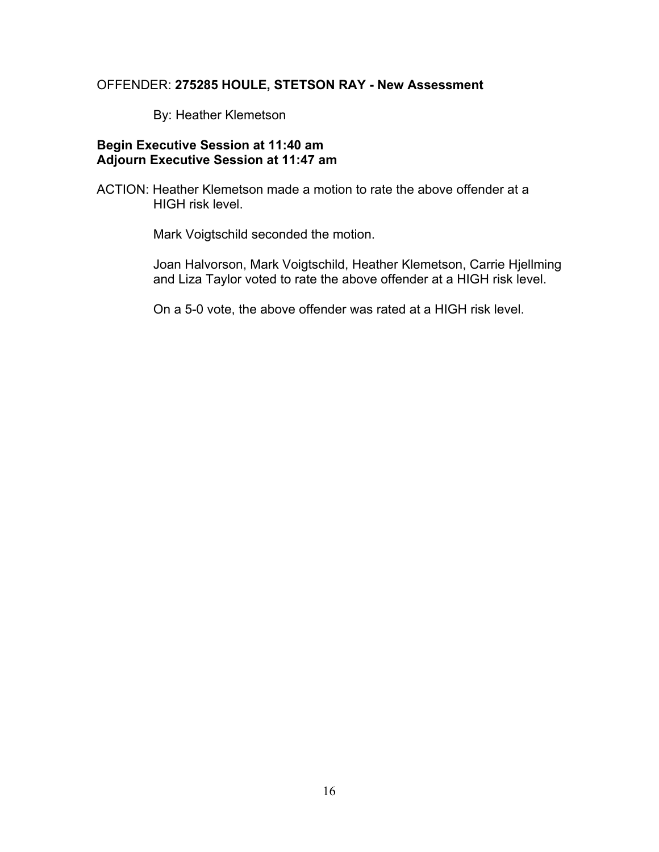# OFFENDER: **275285 HOULE, STETSON RAY - New Assessment**

By: Heather Klemetson

# **Begin Executive Session at 11:40 am Adjourn Executive Session at 11:47 am**

ACTION: Heather Klemetson made a motion to rate the above offender at a HIGH risk level.

Mark Voigtschild seconded the motion.

Joan Halvorson, Mark Voigtschild, Heather Klemetson, Carrie Hjellming and Liza Taylor voted to rate the above offender at a HIGH risk level.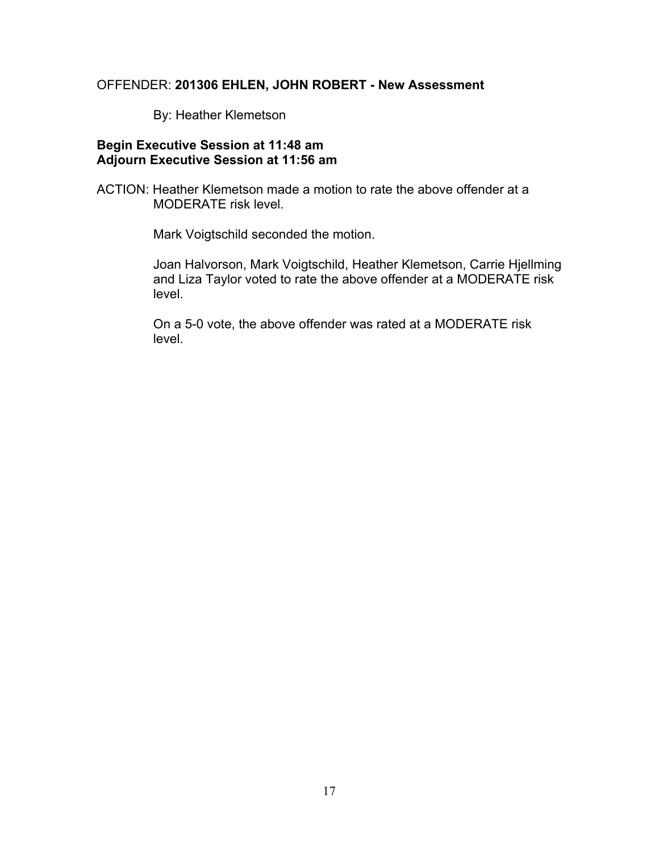#### OFFENDER: **201306 EHLEN, JOHN ROBERT - New Assessment**

By: Heather Klemetson

## **Begin Executive Session at 11:48 am Adjourn Executive Session at 11:56 am**

ACTION: Heather Klemetson made a motion to rate the above offender at a MODERATE risk level.

Mark Voigtschild seconded the motion.

Joan Halvorson, Mark Voigtschild, Heather Klemetson, Carrie Hjellming and Liza Taylor voted to rate the above offender at a MODERATE risk level.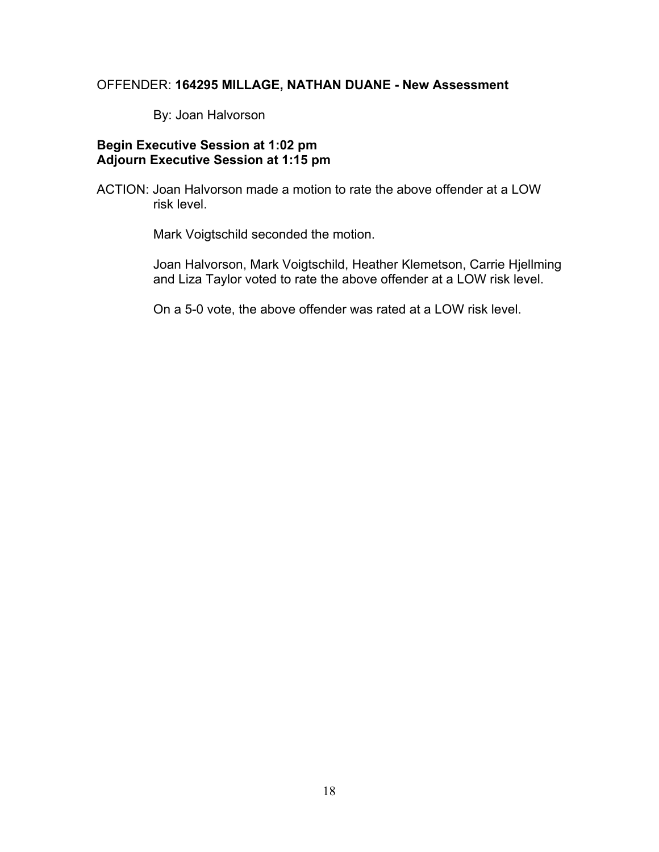# OFFENDER: **164295 MILLAGE, NATHAN DUANE - New Assessment**

By: Joan Halvorson

# **Begin Executive Session at 1:02 pm Adjourn Executive Session at 1:15 pm**

ACTION: Joan Halvorson made a motion to rate the above offender at a LOW risk level.

Mark Voigtschild seconded the motion.

Joan Halvorson, Mark Voigtschild, Heather Klemetson, Carrie Hjellming and Liza Taylor voted to rate the above offender at a LOW risk level.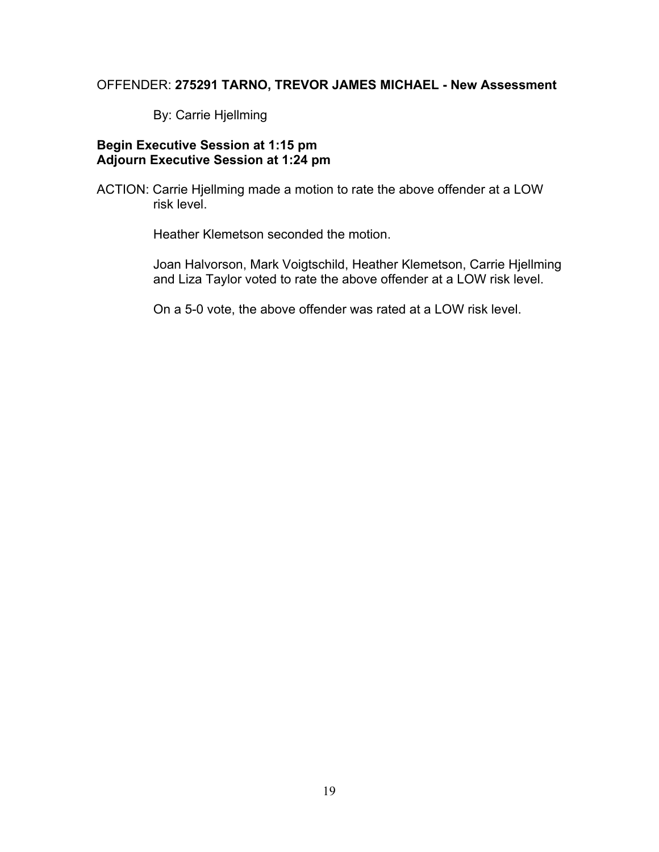#### OFFENDER: **275291 TARNO, TREVOR JAMES MICHAEL - New Assessment**

By: Carrie Hjellming

# **Begin Executive Session at 1:15 pm Adjourn Executive Session at 1:24 pm**

ACTION: Carrie Hjellming made a motion to rate the above offender at a LOW risk level.

Heather Klemetson seconded the motion.

Joan Halvorson, Mark Voigtschild, Heather Klemetson, Carrie Hjellming and Liza Taylor voted to rate the above offender at a LOW risk level.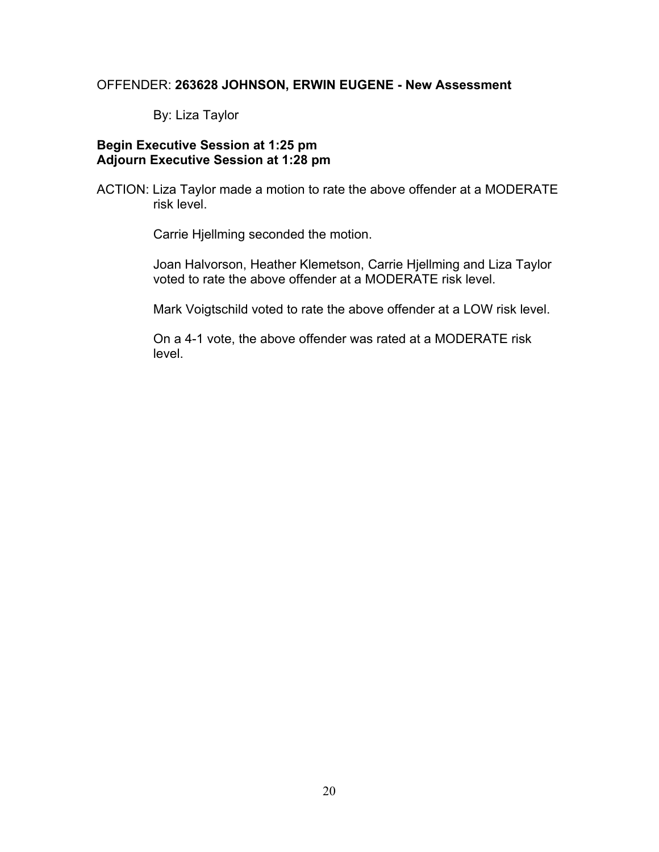#### OFFENDER: **263628 JOHNSON, ERWIN EUGENE - New Assessment**

By: Liza Taylor

# **Begin Executive Session at 1:25 pm Adjourn Executive Session at 1:28 pm**

ACTION: Liza Taylor made a motion to rate the above offender at a MODERATE risk level.

Carrie Hjellming seconded the motion.

Joan Halvorson, Heather Klemetson, Carrie Hjellming and Liza Taylor voted to rate the above offender at a MODERATE risk level.

Mark Voigtschild voted to rate the above offender at a LOW risk level.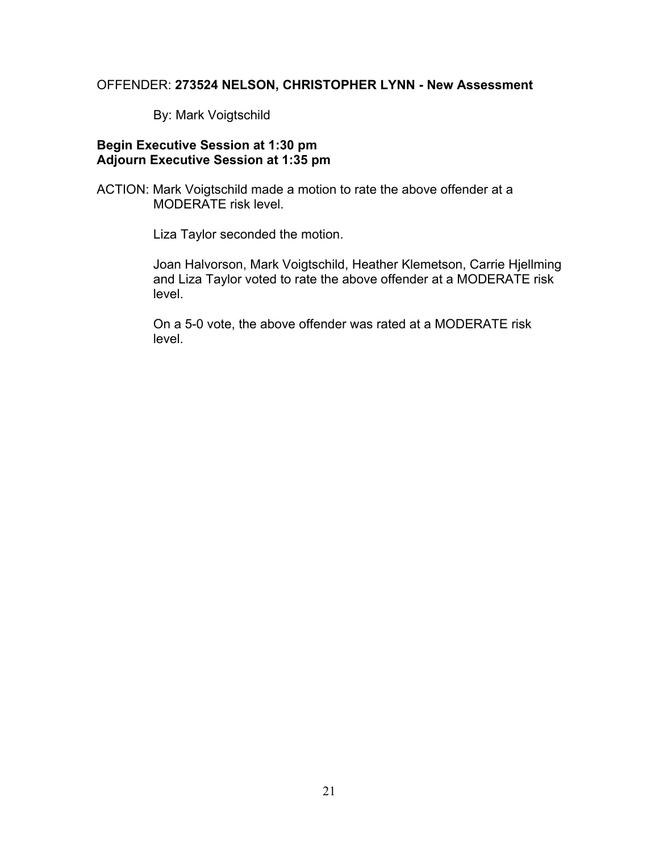#### OFFENDER: **273524 NELSON, CHRISTOPHER LYNN - New Assessment**

By: Mark Voigtschild

## **Begin Executive Session at 1:30 pm Adjourn Executive Session at 1:35 pm**

ACTION: Mark Voigtschild made a motion to rate the above offender at a MODERATE risk level.

Liza Taylor seconded the motion.

Joan Halvorson, Mark Voigtschild, Heather Klemetson, Carrie Hjellming and Liza Taylor voted to rate the above offender at a MODERATE risk level.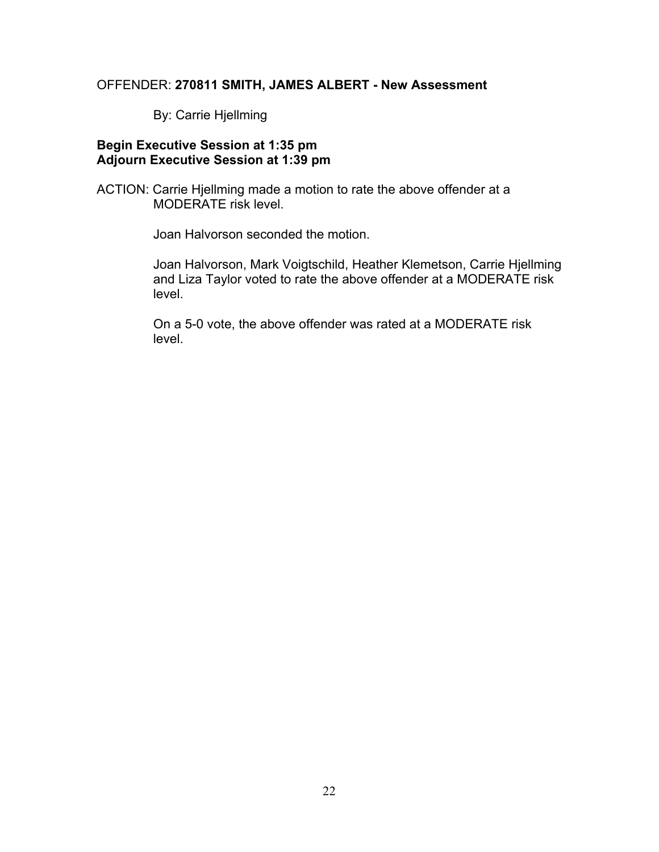# OFFENDER: **270811 SMITH, JAMES ALBERT - New Assessment**

By: Carrie Hjellming

## **Begin Executive Session at 1:35 pm Adjourn Executive Session at 1:39 pm**

ACTION: Carrie Hjellming made a motion to rate the above offender at a MODERATE risk level.

Joan Halvorson seconded the motion.

Joan Halvorson, Mark Voigtschild, Heather Klemetson, Carrie Hjellming and Liza Taylor voted to rate the above offender at a MODERATE risk level.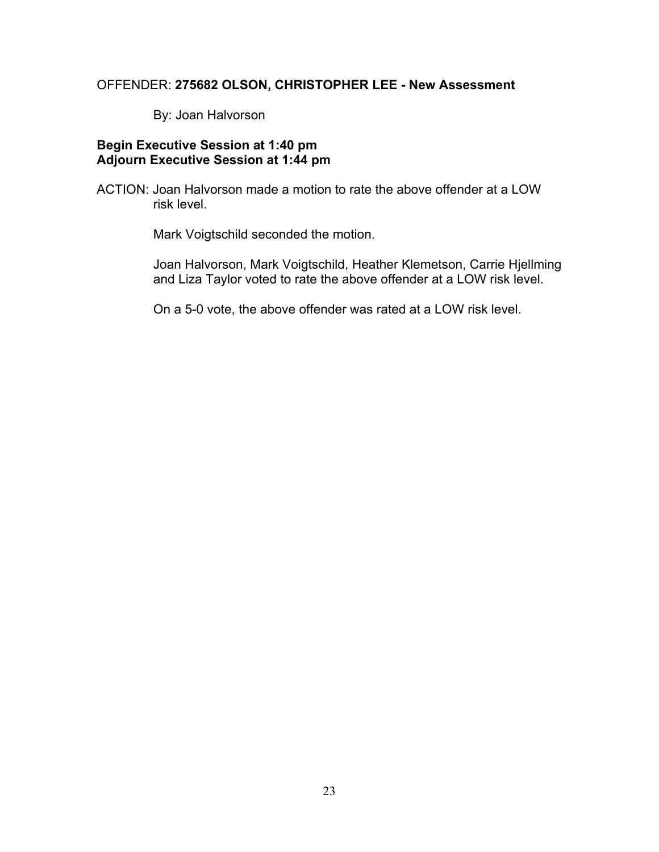#### OFFENDER: **275682 OLSON, CHRISTOPHER LEE - New Assessment**

By: Joan Halvorson

# **Begin Executive Session at 1:40 pm Adjourn Executive Session at 1:44 pm**

ACTION: Joan Halvorson made a motion to rate the above offender at a LOW risk level.

Mark Voigtschild seconded the motion.

Joan Halvorson, Mark Voigtschild, Heather Klemetson, Carrie Hjellming and Liza Taylor voted to rate the above offender at a LOW risk level.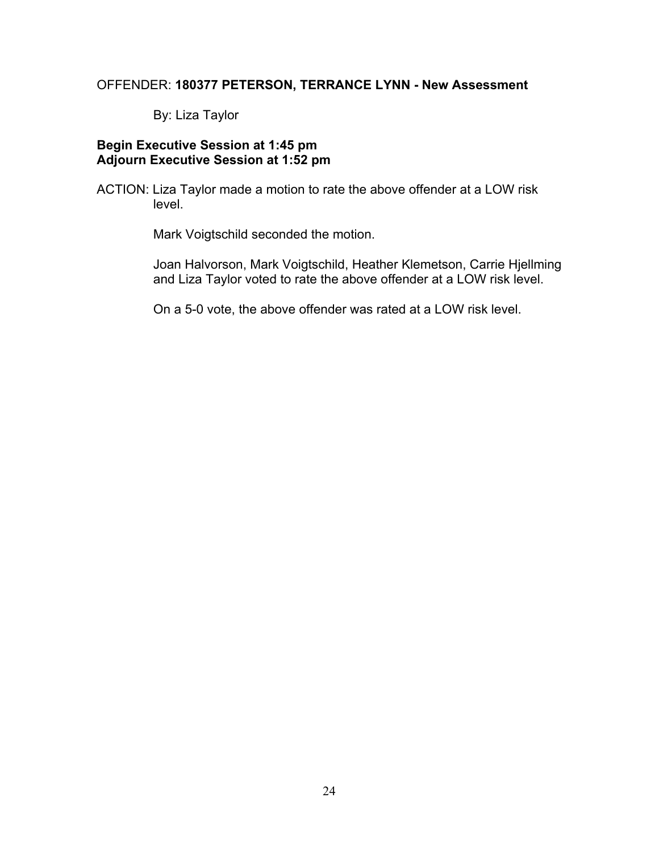# OFFENDER: **180377 PETERSON, TERRANCE LYNN - New Assessment**

By: Liza Taylor

# **Begin Executive Session at 1:45 pm Adjourn Executive Session at 1:52 pm**

ACTION: Liza Taylor made a motion to rate the above offender at a LOW risk level.

Mark Voigtschild seconded the motion.

Joan Halvorson, Mark Voigtschild, Heather Klemetson, Carrie Hjellming and Liza Taylor voted to rate the above offender at a LOW risk level.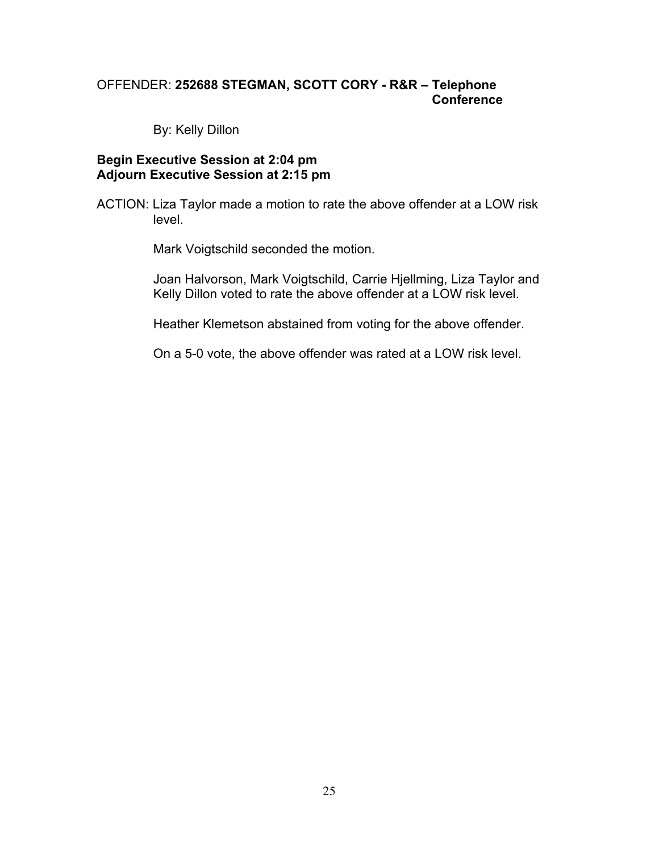# OFFENDER: **252688 STEGMAN, SCOTT CORY - R&R – Telephone Conference**

By: Kelly Dillon

#### **Begin Executive Session at 2:04 pm Adjourn Executive Session at 2:15 pm**

ACTION: Liza Taylor made a motion to rate the above offender at a LOW risk level.

Mark Voigtschild seconded the motion.

Joan Halvorson, Mark Voigtschild, Carrie Hjellming, Liza Taylor and Kelly Dillon voted to rate the above offender at a LOW risk level.

Heather Klemetson abstained from voting for the above offender.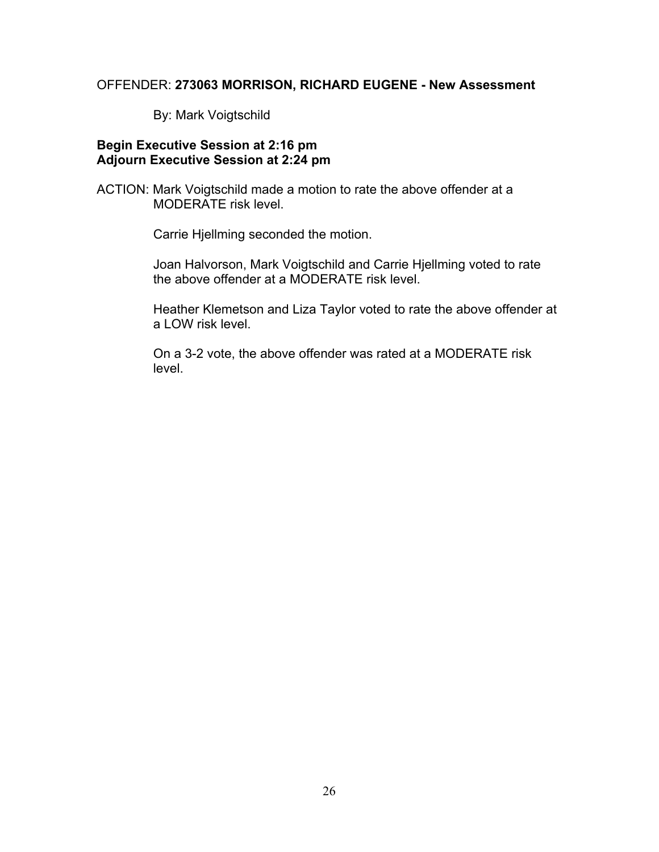#### OFFENDER: **273063 MORRISON, RICHARD EUGENE - New Assessment**

By: Mark Voigtschild

# **Begin Executive Session at 2:16 pm Adjourn Executive Session at 2:24 pm**

ACTION: Mark Voigtschild made a motion to rate the above offender at a MODERATE risk level.

Carrie Hjellming seconded the motion.

Joan Halvorson, Mark Voigtschild and Carrie Hjellming voted to rate the above offender at a MODERATE risk level.

Heather Klemetson and Liza Taylor voted to rate the above offender at a LOW risk level.